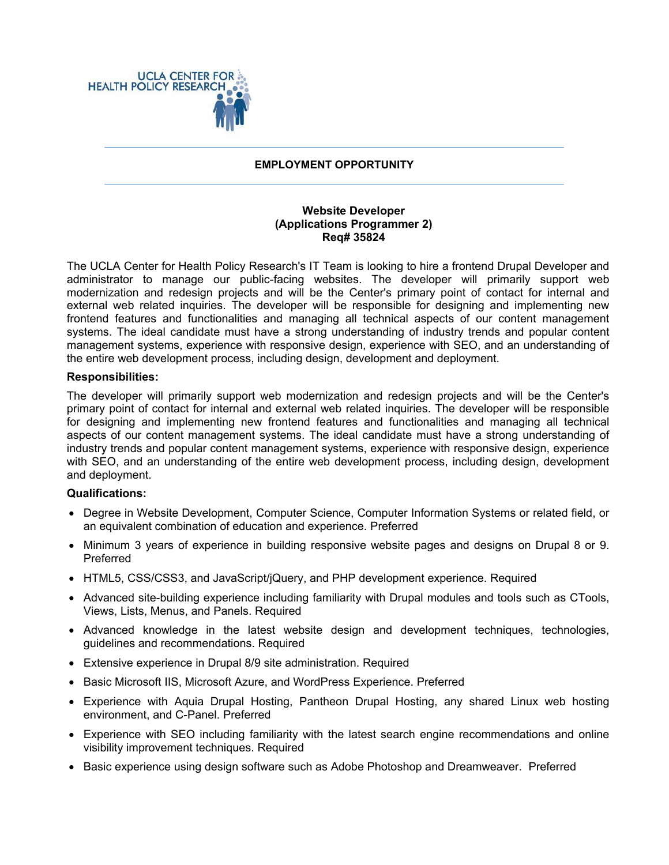

### **EMPLOYMENT OPPORTUNITY**

## **Website Developer (Applications Programmer 2) Req# 35824**

The UCLA Center for Health Policy Research's IT Team is looking to hire a frontend Drupal Developer and administrator to manage our public-facing websites. The developer will primarily support web modernization and redesign projects and will be the Center's primary point of contact for internal and external web related inquiries. The developer will be responsible for designing and implementing new frontend features and functionalities and managing all technical aspects of our content management systems. The ideal candidate must have a strong understanding of industry trends and popular content management systems, experience with responsive design, experience with SEO, and an understanding of the entire web development process, including design, development and deployment.

### **Responsibilities:**

The developer will primarily support web modernization and redesign projects and will be the Center's primary point of contact for internal and external web related inquiries. The developer will be responsible for designing and implementing new frontend features and functionalities and managing all technical aspects of our content management systems. The ideal candidate must have a strong understanding of industry trends and popular content management systems, experience with responsive design, experience with SEO, and an understanding of the entire web development process, including design, development and deployment.

# **Qualifications:**

- Degree in Website Development, Computer Science, Computer Information Systems or related field, or an equivalent combination of education and experience. Preferred
- Minimum 3 years of experience in building responsive website pages and designs on Drupal 8 or 9. Preferred
- HTML5, CSS/CSS3, and JavaScript/jQuery, and PHP development experience. Required
- Advanced site-building experience including familiarity with Drupal modules and tools such as CTools, Views, Lists, Menus, and Panels. Required
- Advanced knowledge in the latest website design and development techniques, technologies, guidelines and recommendations. Required
- Extensive experience in Drupal 8/9 site administration. Required
- Basic Microsoft IIS, Microsoft Azure, and WordPress Experience. Preferred
- Experience with Aquia Drupal Hosting, Pantheon Drupal Hosting, any shared Linux web hosting environment, and C-Panel. Preferred
- Experience with SEO including familiarity with the latest search engine recommendations and online visibility improvement techniques. Required
- Basic experience using design software such as Adobe Photoshop and Dreamweaver. Preferred